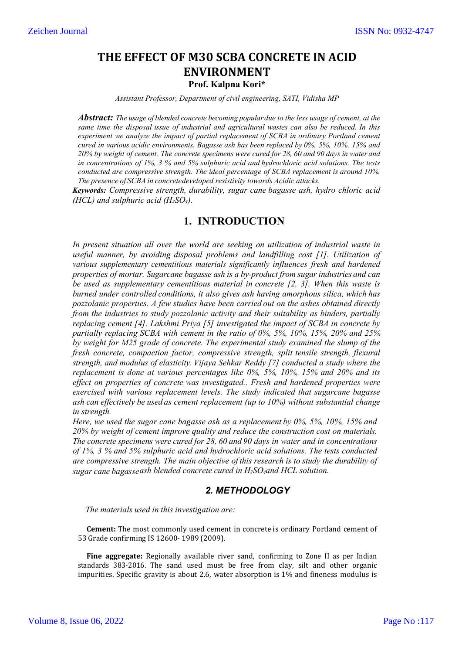# **THE EFFECT OF M30 SCBA CONCRETE IN ACID ENVIRONMENT Prof. Kalpna Kori\***

*Assistant Professor, Department of civil engineering, SATI, Vidisha MP*

*Abstract: The usage of blended concrete becoming populardue to the less usage of cement, at the same time the disposal issue of industrial and agricultural wastes can also be reduced. In this experiment we analyze the impact of partial replacement of SCBA in ordinary Portland cement cured in various acidic environments. Bagasse ash has been replaced by 0%, 5%, 10%, 15% and* 20% by weight of cement. The concrete specimens were cured for 28, 60 and 90 days in water and *in concentrations of 1%, 3 % and 5% sulphuric acid and hydrochloric acid solutions. The tests conducted are compressive strength. The ideal percentage of SCBA replacement is around 10%. The presence of SCBA in concretedeveloped resistivity towards Acidic attacks.*

*Keywords: Compressive strength, durability, sugar cane bagasse ash, hydro chloric acid (HCL)* and sulphuric acid *(H*<sub>2</sub>SO<sub>4</sub>).

## **1. INTRODUCTION**

*In present situation all over the world are seeking on utilization of industrial waste in useful manner, by avoiding disposal problems and landfilling cost [1]. Utilization of various supplementary cementitious materials significantly influences fresh and hardened properties of mortar. Sugarcane bagasse ash is a by-product from sugar industries and can be used as supplementary cementitious material in concrete [2, 3]. When this waste is burned under controlled conditions, it also gives ash having amorphous silica, which has pozzolanic properties. A few studies have been carried out on the ashes obtained directly from the industries to study pozzolanic activity and their suitability as binders, partially replacing cement [4]. Lakshmi Priya [5] investigated the impact of SCBA in concrete by partially replacing SCBA with cement in the ratio of 0%, 5%, 10%, 15%, 20% and 25% by weight for M25 grade of concrete. The experimental study examined the slump of the fresh concrete, compaction factor, compressive strength, split tensile strength, flexural strength, and modulus of elasticity. Vijaya Sehkar Reddy [7] conducted a study where the replacement is done at various percentages like 0%, 5%, 10%, 15% and 20% and its effect on properties of concrete was investigated.. Fresh and hardened properties were exercised with various replacement levels. The study indicated that sugarcane bagasse ash can effectively be used as cement replacement (up to 10%) without substantial change in strength.*

*Here, we used the sugar cane bagasse ash as a replacement by 0%, 5%, 10%, 15% and 20% by weight of cement improve quality and reduce the construction cost on materials. The concrete specimens were cured for 28, 60 and 90 days in water and in concentrations of 1%, 3 % and 5% sulphuric acid and hydrochloric acid solutions. The tests conducted are compressive strength. The main objective of this research is to study the durability of sugar cane bagasseash blended concrete cured in H₂SO4and HCL solution.*

### *2. METHODOLOGY*

 *The materials used in this investigation are:*

**Cement:** The most commonly used cement in concrete is ordinary Portland cement of 53 Grade confirming IS 12600- 1989 (2009).

**Fine aggregate:** Regionally available river sand, confirming to Zone II as per Indian standards 383-2016. The sand used must be free from clay, silt and other organic impurities. Specific gravity is about 2.6, water absorption is 1% and fineness modulus is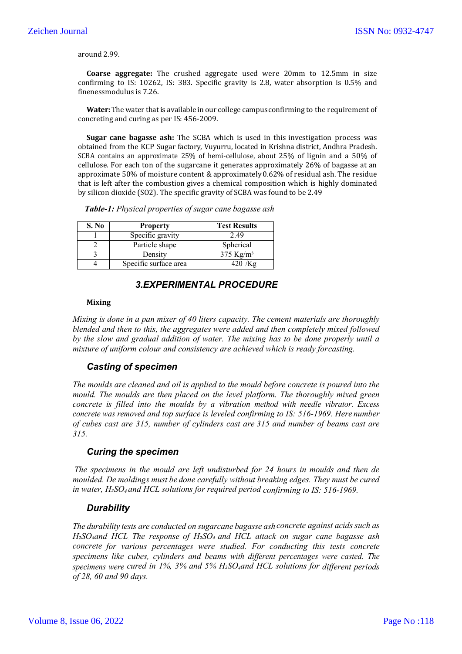around 2.99.

**Coarse aggregate:** The crushed aggregate used were 20mm to 12.5mm in size confirming to IS: 10262, IS: 383. Specific gravity is 2.8, water absorption is 0.5% and finenessmodulus is 7.26.

Water: The water that is available in our college campus confirming to the requirement of concreting and curing as per IS: 456-2009.

**Sugar cane bagasse ash:** The SCBA which is used in this investigation process was obtained from the KCP Sugar factory, Vuyurru, located in Krishna district, Andhra Pradesh. SCBA contains an approximate 25% of hemi-cellulose, about 25% of lignin and a 50% of cellulose. For each ton of the sugarcane it generates approximately 26% of bagasse at an approximate 50% of moisture content & approximately0.62% of residual ash. The residue that is left after the combustion gives a chemical composition which is highly dominated by silicon dioxide (SO2). The specific gravity of SCBA was found to be 2.49

*Table-1: Physical properties of sugar cane bagasse ash*

| S. No | <b>Property</b>       | <b>Test Results</b>     |
|-------|-----------------------|-------------------------|
|       | Specific gravity      | 2.49                    |
|       | Particle shape        | Spherical               |
|       | Density               | $375$ Kg/m <sup>3</sup> |
|       | Specific surface area |                         |

### *3.EXPERIMENTAL PROCEDURE*

#### **Mixing**

*Mixing is done in a pan mixer of 40 liters capacity. The cement materials are thoroughly blended and then to this, the aggregates were added and then completely mixed followed by the slow and gradual addition of water. The mixing has to be done properly until a mixture of uniform colour and consistency are achieved which is ready forcasting.*

### *Casting of specimen*

*The moulds are cleaned and oil is applied to the mould before concrete is poured into the mould. The moulds are then placed on the level platform. The thoroughly mixed green concrete is filled into the moulds by a vibration method with needle vibrator. Excess concrete was removed and top surface is leveled confirming to IS: 516-1969. Here number of cubes cast are 315, number of cylinders cast are 315 and number of beams cast are 315.*

### *Curing the specimen*

*The specimens in the mould are left undisturbed for 24 hours in moulds and then de moulded. De moldings must be done carefully without breaking edges. They must be cured in water, H₂SO4 and HCL solutions for required period confirming to IS: 516-1969.*

### *Durability*

*The durability tests are conducted on sugarcane bagasse ash concrete against acids such as H₂SO4and HCL. The response of H₂SO4 and HCL attack on sugar cane bagasse ash concrete for various percentages were studied. For conducting this tests concrete specimens like cubes, cylinders and beams with different percentages were casted. The specimens were cured in 1%, 3% and 5% H₂SO4and HCL solutions for different periods of 28, 60 and 90 days.*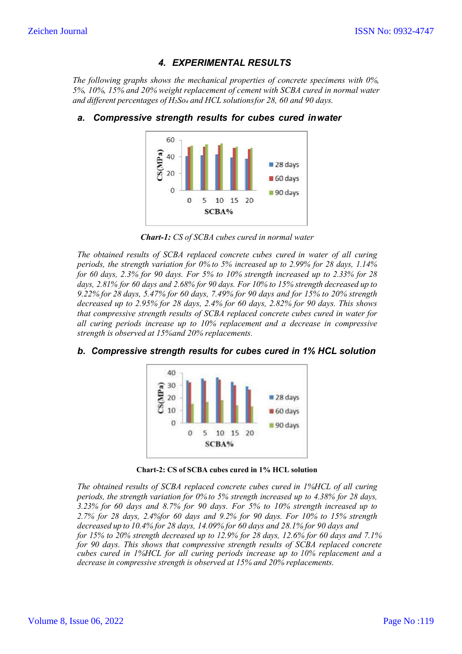## *4. EXPERIMENTAL RESULTS*

*The following graphs shows the mechanical properties of concrete specimens with 0%, 5%, 10%, 15% and 20% weight replacement of cement with SCBA cured in normal water and different percentages of H₂So₄ and HCL solutionsfor 28, 60 and 90 days.*



### *a. Compressive strength results for cubes cured inwater*

*Chart-1: CS of SCBA cubes cured in normal water*

*The obtained results of SCBA replaced concrete cubes cured in water of all curing periods, the strength variation for 0% to 5% increased up to 2.99% for 28 days, 1.14% for 60 days, 2.3% for 90 days. For 5% to 10% strength increased up to 2.33% for 28 days, 2.81% for 60 days and 2.68% for 90 days. For 10% to 15% strength decreased up to 9.22% for 28 days, 5.47% for 60 days, 7.49% for 90 days and for 15% to 20% strength decreased up to 2.95% for 28 days, 2.4% for 60 days, 2.82% for 90 days. This shows that compressive strength results of SCBA replaced concrete cubes cured in water for all curing periods increase up to 10% replacement and a decrease in compressive strength is observed at 15%and 20% replacements.*



### *b. Compressive strength results for cubes cured in 1% HCL solution*

**Chart-2: CS of SCBA cubes cured in 1% HCL solution**

*The obtained results of SCBA replaced concrete cubes cured in 1%HCL of all curing periods, the strength variation for 0% to 5% strength increased up to 4.38% for 28 days, 3.23% for 60 days and 8.7% for 90 days. For 5% to 10% strength increased up to 2.7% for 28 days, 2.4%for 60 days and 9.2% for 90 days. For 10% to 15% strength decreased up to 10.4% for 28 days, 14.09% for 60 days and 28.1% for 90 days and for 15% to 20% strength decreased up to 12.9% for 28 days, 12.6% for 60 days and 7.1% for 90 days. This shows that compressive strength results of SCBA replaced concrete cubes cured in 1%HCL for all curing periods increase up to 10% replacement and a decrease in compressive strength is observed at 15% and 20% replacements.*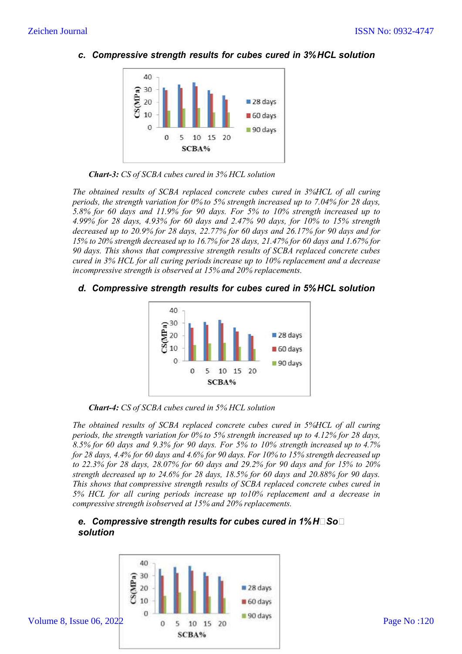

*c. Compressive strength results for cubes cured in 3%HCL solution*



*The obtained results of SCBA replaced concrete cubes cured in 3%HCL of all curing periods, the strength variation for 0% to 5% strength increased up to 7.04% for 28 days, 5.8% for 60 days and 11.9% for 90 days. For 5% to 10% strength increased up to 4.99% for 28 days, 4.93% for 60 days and 2.47% 90 days, for 10% to 15% strength decreased up to 20.9% for 28 days, 22.77% for 60 days and 26.17% for 90 days and for 15% to 20% strength decreased up to 16.7% for 28 days, 21.47% for 60 days and 1.67% for 90 days. This shows that compressive strength results of SCBA replaced concrete cubes cured in 3% HCL for all curing periods increase up to 10% replacement and a decrease incompressive strength is observed at 15% and 20% replacements.*

## *d. Compressive strength results for cubes cured in 5%HCL solution*



*Chart-4: CS of SCBA cubes cured in 5% HCL solution*

*The obtained results of SCBA replaced concrete cubes cured in 5%HCL of all curing periods, the strength variation for 0% to 5% strength increased up to 4.12% for 28 days, 8.5% for 60 days and 9.3% for 90 days. For 5% to 10% strength increased up to 4.7% for 28 days, 4.4% for 60 days and 4.6% for 90 days. For 10% to 15% strength decreased up to 22.3% for 28 days, 28.07% for 60 days and 29.2% for 90 days and for 15% to 20% strength decreased up to 24.6% for 28 days, 18.5% for 60 days and 20.88% for 90 days. This shows that compressive strength results of SCBA replaced concrete cubes cured in 5% HCL for all curing periods increase up to10% replacement and a decrease in compressive strength isobserved at 15% and 20% replacements.*

## *e. Compressive strength results for cubes cured in 1%HSo solution*

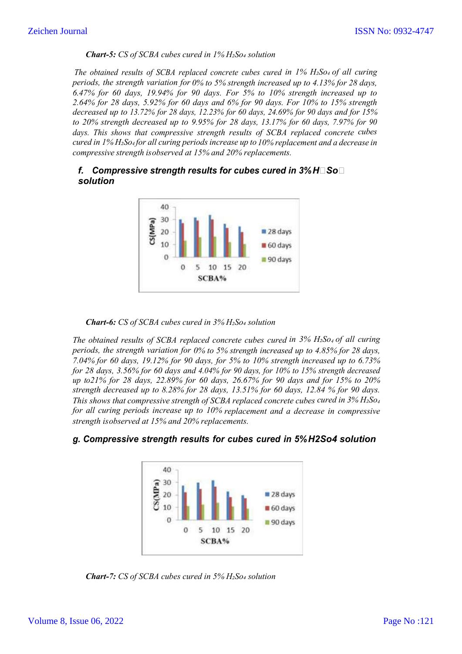#### *Chart-5: CS of SCBA cubes cured in 1% H₂So₄ solution*

*The obtained results of SCBA replaced concrete cubes cured in 1% H₂So4 of all curing periods, the strength variation for 0% to 5% strength increased up to 4.13% for 28 days, 6.47% for 60 days, 19.94% for 90 days. For 5% to 10% strength increased up to 2.64% for 28 days, 5.92% for 60 days and 6% for 90 days. For 10% to 15% strength decreased up to 13.72% for 28 days, 12.23% for 60 days, 24.69% for 90 days and for 15% to 20% strength decreased up to 9.95% for 28 days, 13.17% for 60 days, 7.97% for 90 days. This shows that compressive strength results of SCBA replaced concrete cubes cured in 1% H₂So4 for all curing periods increase up to 10% replacement and a decrease in compressive strength isobserved at 15% and 20% replacements.*

### *f.* Compressive strength results for cubes cured in 3%H $\square$ So $\square$ *solution*



#### *Chart-6: CS of SCBA cubes cured in 3% H₂So₄ solution*

*The obtained results of SCBA replaced concrete cubes cured in 3% H₂So4 of all curing periods, the strength variation for 0% to 5% strength increased up to 4.85% for 28 days, 7.04% for 60 days, 19.12% for 90 days, for 5% to 10% strength increased up to 6.73% for 28 days, 3.56% for 60 days and 4.04% for 90 days, for 10% to 15% strength decreased up to21% for 28 days, 22.89% for 60 days, 26.67% for 90 days and for 15% to 20% strength decreased up to 8.28% for 28 days, 13.51% for 60 days, 12.84 % for 90 days. This shows that compressive strength of SCBA replaced concrete cubes cured in 3% H₂So4 for all curing periods increase up to 10% replacement and a decrease in compressive strength isobserved at 15% and 20% replacements.*



### *g. Compressive strength results for cubes cured in 5%H2So4 solution*

*Chart-7: CS of SCBA cubes cured in 5% H₂So₄ solution*